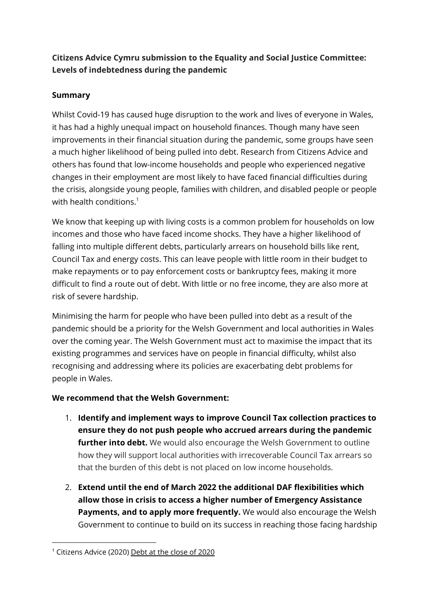# **Citizens Advice Cymru submission to the Equality and Social Justice Committee: Levels of indebtedness during the pandemic**

## **Summary**

Whilst Covid-19 has caused huge disruption to the work and lives of everyone in Wales, it has had a highly unequal impact on household finances. Though many have seen improvements in their financial situation during the pandemic, some groups have seen a much higher likelihood of being pulled into debt. Research from Citizens Advice and others has found that low-income households and people who experienced negative changes in their employment are most likely to have faced financial difficulties during the crisis, alongside young people, families with children, and disabled people or people with health conditions. $^{\rm 1}$ 

We know that keeping up with living costs is a common problem for households on low incomes and those who have faced income shocks. They have a higher likelihood of falling into multiple different debts, particularly arrears on household bills like rent, Council Tax and energy costs. This can leave people with little room in their budget to make repayments or to pay enforcement costs or bankruptcy fees, making it more difficult to find a route out of debt. With little or no free income, they are also more at risk of severe hardship.

Minimising the harm for people who have been pulled into debt as a result of the pandemic should be a priority for the Welsh Government and local authorities in Wales over the coming year. The Welsh Government must act to maximise the impact that its existing programmes and services have on people in financial difficulty, whilst also recognising and addressing where its policies are exacerbating debt problems for people in Wales.

### **We recommend that the Welsh Government:**

- 1. **Identify and implement ways to improve Council Tax collection practices to ensure they do not push people who accrued arrears during the pandemic further into debt.** We would also encourage the Welsh Government to outline how they will support local authorities with irrecoverable Council Tax arrears so that the burden of this debt is not placed on low income households.
- 2. **Extend until the end of March 2022 the additional DAF flexibilities which allow those in crisis to access a higher number of Emergency Assistance Payments, and to apply more frequently.** We would also encourage the Welsh Government to continue to build on its success in reaching those facing hardship

<sup>1</sup> Citizens Advice (2020) Debt at the [close](https://www.citizensadvice.org.uk/Global/CitizensAdvice/Debt%20and%20Money%20Publications/2020%20debts%20report.pdf) of 2020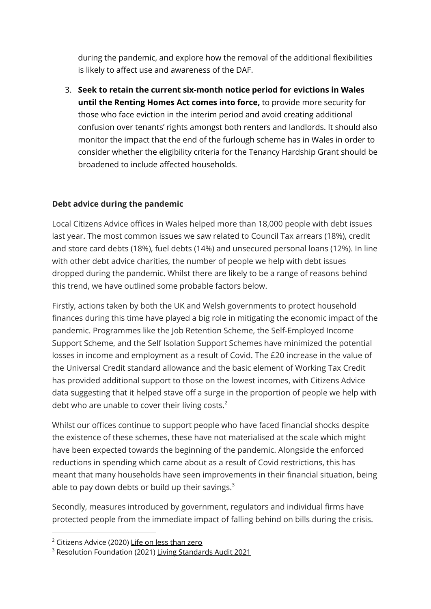during the pandemic, and explore how the removal of the additional flexibilities is likely to affect use and awareness of the DAF.

3. **Seek to retain the current six-month notice period for evictions in Wales until the Renting Homes Act comes into force,** to provide more security for those who face eviction in the interim period and avoid creating additional confusion over tenants' rights amongst both renters and landlords. It should also monitor the impact that the end of the furlough scheme has in Wales in order to consider whether the eligibility criteria for the Tenancy Hardship Grant should be broadened to include affected households.

## **Debt advice during the pandemic**

Local Citizens Advice offices in Wales helped more than 18,000 people with debt issues last year. The most common issues we saw related to Council Tax arrears (18%), credit and store card debts (18%), fuel debts (14%) and unsecured personal loans (12%). In line with other debt advice charities, the number of people we help with debt issues dropped during the pandemic. Whilst there are likely to be a range of reasons behind this trend, we have outlined some probable factors below.

Firstly, actions taken by both the UK and Welsh governments to protect household finances during this time have played a big role in mitigating the economic impact of the pandemic. Programmes like the Job Retention Scheme, the Self-Employed Income Support Scheme, and the Self Isolation Support Schemes have minimized the potential losses in income and employment as a result of Covid. The £20 increase in the value of the Universal Credit standard allowance and the basic element of Working Tax Credit has provided additional support to those on the lowest incomes, with Citizens Advice data suggesting that it helped stave off a surge in the proportion of people we help with debt who are unable to cover their living costs. $2$ 

Whilst our offices continue to support people who have faced financial shocks despite the existence of these schemes, these have not materialised at the scale which might have been expected towards the beginning of the pandemic. Alongside the enforced reductions in spending which came about as a result of Covid restrictions, this has meant that many households have seen improvements in their financial situation, being able to pay down debts or build up their savings. $^3$ 

Secondly, measures introduced by government, regulators and individual firms have protected people from the immediate impact of falling behind on bills during the crisis.

<sup>&</sup>lt;sup>2</sup> Citizens Advice (2020) Life on less [than](https://www.citizensadvice.org.uk/Global/CitizensAdvice/Debt%20and%20Money%20Publications/Life%20on%20less%20than%20zero%20(October%202020).pdf) zero

<sup>&</sup>lt;sup>3</sup> Resolution Foundation (2021) Living [Standards](https://www.resolutionfoundation.org/app/uploads/2021/06/Living-standards-audit-2021.pdf) Audit 2021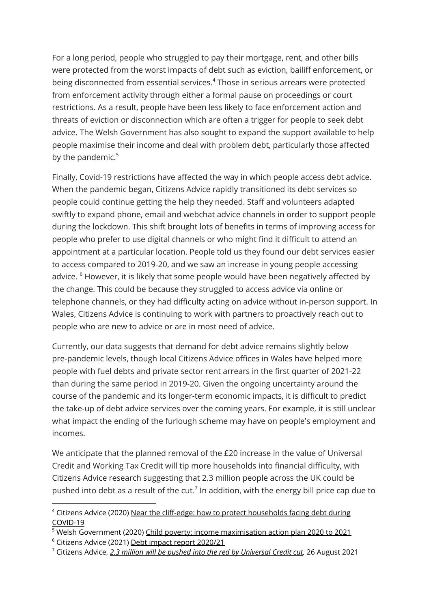For a long period, people who struggled to pay their mortgage, rent, and other bills were protected from the worst impacts of debt such as eviction, bailiff enforcement, or being disconnected from essential services. <sup>4</sup> Those in serious arrears were protected from enforcement activity through either a formal pause on proceedings or court restrictions. As a result, people have been less likely to face enforcement action and threats of eviction or disconnection which are often a trigger for people to seek debt advice. The Welsh Government has also sought to expand the support available to help people maximise their income and deal with problem debt, particularly those affected by the pandemic.<sup>5</sup>

Finally, Covid-19 restrictions have affected the way in which people access debt advice. When the pandemic began, Citizens Advice rapidly transitioned its debt services so people could continue getting the help they needed. Staff and volunteers adapted swiftly to expand phone, email and webchat advice channels in order to support people during the lockdown. This shift brought lots of benefits in terms of improving access for people who prefer to use digital channels or who might find it difficult to attend an appointment at a particular location. People told us they found our debt services easier to access compared to 2019-20, and we saw an increase in young people accessing advice.  $^6$  However, it is likely that some people would have been negatively affected by the change. This could be because they struggled to access advice via online or telephone channels, or they had difficulty acting on advice without in-person support. In Wales, Citizens Advice is continuing to work with partners to proactively reach out to people who are new to advice or are in most need of advice.

Currently, our data suggests that demand for debt advice remains slightly below pre-pandemic levels, though local Citizens Advice offices in Wales have helped more people with fuel debts and private sector rent arrears in the first quarter of 2021-22 than during the same period in 2019-20. Given the ongoing uncertainty around the course of the pandemic and its longer-term economic impacts, it is difficult to predict the take-up of debt advice services over the coming years. For example, it is still unclear what impact the ending of the furlough scheme may have on people's employment and incomes.

We anticipate that the planned removal of the £20 increase in the value of Universal Credit and Working Tax Credit will tip more households into financial difficulty, with Citizens Advice research suggesting that 2.3 million people across the UK could be pushed into debt as a result of the cut.<sup>7</sup> In addition, with the energy bill price cap due to

<sup>4</sup> Citizens Advice (2020) Near the cliff-edge: how to protect [households](https://www.citizensadvice.org.uk/Global/CitizensAdvice/Debt%20and%20Money%20Publications/FINAL01_05%20-%20Near%20the%20cliff-edge_%20how%20to%20protect%20households%20facing%20debt%20during%20COVID-19.pdf) facing debt during [COVID-19](https://www.citizensadvice.org.uk/Global/CitizensAdvice/Debt%20and%20Money%20Publications/FINAL01_05%20-%20Near%20the%20cliff-edge_%20how%20to%20protect%20households%20facing%20debt%20during%20COVID-19.pdf)

<sup>&</sup>lt;sup>5</sup> Welsh Government (2020) Child poverty: income [maximisation](https://gov.wales/child-poverty-income-maximisation-action-plan-2020-2021-html) action plan 2020 to 2021

<sup>&</sup>lt;sup>6</sup> Citizens Advice (2021) Debt impact report [2020/21](https://www.citizensadvice.org.uk/Documents/DebtImpactReport_2020-21.pdf)

<sup>7</sup> Citizens Advice, *2.3 million will be pushed into the red by [Universal](https://www.citizensadvice.org.uk/about-us/about-us1/media/press-releases/23-million-will-be-pushed-into-the-red-by-universal-credit-cut/) Credit cut,* 26 August 2021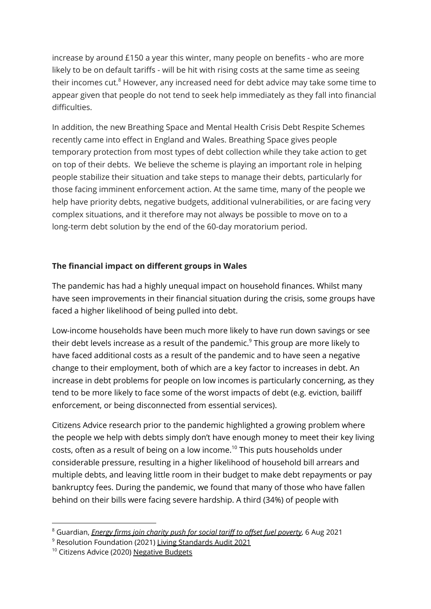increase by around £150 a year this winter, many people on benefits - who are more likely to be on default tariffs - will be hit with rising costs at the same time as seeing their incomes cut. <sup>8</sup> However, any increased need for debt advice may take some time to appear given that people do not tend to seek help immediately as they fall into financial difficulties.

In addition, the new Breathing Space and Mental Health Crisis Debt Respite Schemes recently came into effect in England and Wales. Breathing Space gives people temporary protection from most types of debt collection while they take action to get on top of their debts. We believe the scheme is playing an important role in helping people stabilize their situation and take steps to manage their debts, particularly for those facing imminent enforcement action. At the same time, many of the people we help have priority debts, negative budgets, additional vulnerabilities, or are facing very complex situations, and it therefore may not always be possible to move on to a long-term debt solution by the end of the 60-day moratorium period.

### **The financial impact on different groups in Wales**

The pandemic has had a highly unequal impact on household finances. Whilst many have seen improvements in their financial situation during the crisis, some groups have faced a higher likelihood of being pulled into debt.

Low-income households have been much more likely to have run down savings or see their debt levels increase as a result of the pandemic. <sup>9</sup> This group are more likely to have faced additional costs as a result of the pandemic and to have seen a negative change to their employment, both of which are a key factor to increases in debt. An increase in debt problems for people on low incomes is particularly concerning, as they tend to be more likely to face some of the worst impacts of debt (e.g. eviction, bailiff enforcement, or being disconnected from essential services).

Citizens Advice research prior to the pandemic highlighted a growing problem where the people we help with debts simply don't have enough money to meet their key living costs, often as a result of being on a low income. $^{\rm 10}$  This puts households under considerable pressure, resulting in a higher likelihood of household bill arrears and multiple debts, and leaving little room in their budget to make debt repayments or pay bankruptcy fees. During the pandemic, we found that many of those who have fallen behind on their bills were facing severe hardship. A third (34%) of people with

<sup>8</sup> Guardian, *Energy firms join charity push for social tariff to offset fuel [poverty](https://www.theguardian.com/business/2021/aug/06/millions-of-great-britain-homes-face-highest-energy-bills-in-a-decade)*, 6 Aug 2021

<sup>9</sup> Resolution Foundation (2021) Living [Standards](https://www.resolutionfoundation.org/app/uploads/2021/06/Living-standards-audit-2021.pdf) Audit 2021

<sup>&</sup>lt;sup>10</sup> Citizens Advice (2020) [Negative](https://www.citizensadvice.org.uk/Global/CitizensAdvice/Consumer%20publications/Negative%20budgets%20report%20-%20phase%201%20(1).pdf) Budgets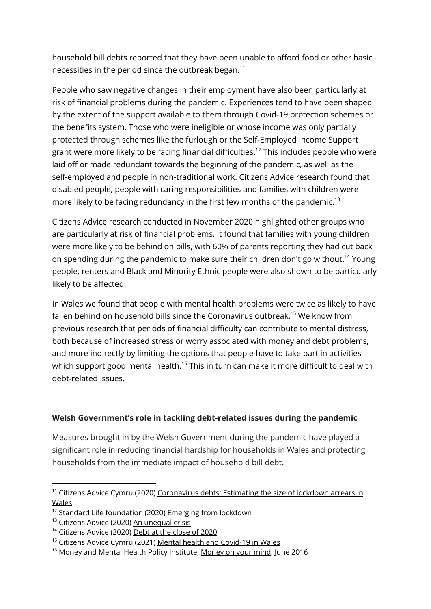household bill debts reported that they have been unable to afford food or other basic necessities in the period since the outbreak began. $^{\rm 11}$ 

People who saw negative changes in their employment have also been particularly at risk of financial problems during the pandemic. Experiences tend to have been shaped by the extent of the support available to them through Covid-19 protection schemes or the benefits system. Those who were ineligible or whose income was only partially protected through schemes like the furlough or the Self-Employed Income Support grant were more likely to be facing financial difficulties. <sup>12</sup> This includes people who were laid off or made redundant towards the beginning of the pandemic, as well as the self-employed and people in non-traditional work. Citizens Advice research found that disabled people, people with caring responsibilities and families with children were more likely to be facing redundancy in the first few months of the pandemic.<sup>13</sup>

Citizens Advice research conducted in November 2020 highlighted other groups who are particularly at risk of financial problems. It found that families with young children were more likely to be behind on bills, with 60% of parents reporting they had cut back on spending during the pandemic to make sure their children don't go without.<sup>14</sup> Young people, renters and Black and Minority Ethnic people were also shown to be particularly likely to be affected.

In Wales we found that people with mental health problems were twice as likely to have fallen behind on household bills since the Coronavirus outbreak. <sup>15</sup> We know from previous research that periods of financial difficulty can contribute to mental distress, both because of increased stress or worry associated with money and debt problems, and more indirectly by limiting the options that people have to take part in activities which support good mental health.<sup>16</sup> This in turn can make it more difficult to deal with debt-related issues.

### **Welsh Government's role in tackling debt-related issues during the pandemic**

Measures brought in by the Welsh Government during the pandemic have played a significant role in reducing financial hardship for households in Wales and protecting households from the immediate impact of household bill debt.

 $11$  Citizens Advice Cymru (2020) [Coronavirus](https://www.citizensadvice.org.uk/Global/CitizensAdvice/Wales/Coronavirus%20Debt%20Wales.pdf) debts: Estimating the size of lockdown arrears in [Wales](https://www.citizensadvice.org.uk/Global/CitizensAdvice/Wales/Coronavirus%20Debt%20Wales.pdf)

 $12$  Standard Life foundation (2020) Emerging from [lockdown](https://www.standardlifefoundation.org.uk/docs?documentId=GB-280920-130082-1)

<sup>&</sup>lt;sup>13</sup> Citizens Advice (2020) An [unequal](https://www.citizensadvice.org.uk/Global/CitizensAdvice/Work%20Publications/An%20unequal%20crisis%20-%20final%20(1).pdf) crisis

<sup>&</sup>lt;sup>14</sup> Citizens Advice (2020) Debt at the [close](https://www.citizensadvice.org.uk/Global/CitizensAdvice/Debt%20and%20Money%20Publications/2020%20debts%20report.pdf) of 2020

<sup>&</sup>lt;sup>15</sup> Citizens Advice Cymru (2021) Mental health and [Covid-19](https://www.citizensadvice.org.uk/Global/CitizensAdvice/Wales/Wales%20Policy%20and%20Campaigns/MH%20and%20CV19%20in%20Wales%20(1).pdf) in Wales

<sup>&</sup>lt;sup>16</sup> [Money](http://www.moneyandmentalhealth.org/wp-content/uploads/2016/06/Money-on-your-mind-full-report.pdf) and Mental Health Policy Institute, Money on your mind, June 2016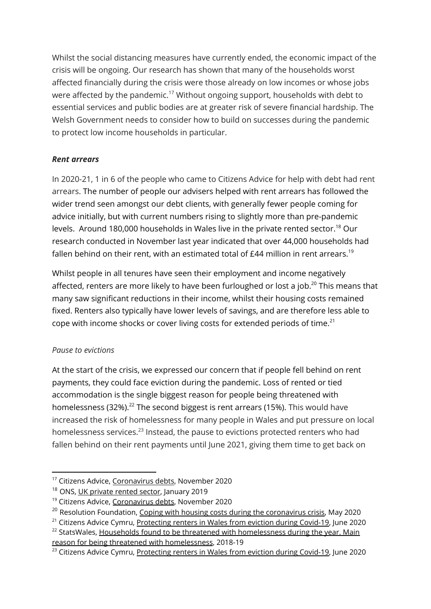Whilst the social distancing measures have currently ended, the economic impact of the crisis will be ongoing. Our research has shown that many of the households worst affected financially during the crisis were those already on low incomes or whose jobs were affected by the pandemic.<sup>17</sup> Without ongoing support, households with debt to essential services and public bodies are at greater risk of severe financial hardship. The Welsh Government needs to consider how to build on successes during the pandemic to protect low income households in particular.

## *Rent arrears*

In 2020-21, 1 in 6 of the people who came to Citizens Advice for help with debt had rent arrears. The number of people our advisers helped with rent arrears has followed the wider trend seen amongst our debt clients, with generally fewer people coming for advice initially, but with current numbers rising to slightly more than pre-pandemic levels. Around 180,000 households in Wales live in the private rented sector. <sup>18</sup> Our research conducted in November last year indicated that over 44,000 households had fallen behind on their rent, with an estimated total of £44 million in rent arrears. $^{\rm 19}$ 

Whilst people in all tenures have seen their employment and income negatively affected, renters are more likely to have been furloughed or lost a job.<sup>20</sup> This means that many saw significant reductions in their income, whilst their housing costs remained fixed. Renters also typically have lower levels of savings, and are therefore less able to cope with income shocks or cover living costs for extended periods of time. $^{21}$ 

### *Pause to evictions*

At the start of the crisis, we expressed our concern that if people fell behind on rent payments, they could face eviction during the pandemic. Loss of rented or tied accommodation is the single biggest reason for people being threatened with homelessness (32%).<sup>22</sup> The second biggest is rent arrears (15%). This would have increased the risk of homelessness for many people in Wales and put pressure on local homelessness services.<sup>23</sup> Instead, the pause to evictions protected renters who had fallen behind on their rent payments until June 2021, giving them time to get back on

reason for being threatened with [homelessness](https://statswales.gov.wales/Catalogue/Housing/Homelessness/Statutory-Homelessness-Prevention-and-Relief/main-reason-for-being-threatened-with-homelessness-by-type-of-household-section-66-), 2018-19

<sup>17</sup> Citizens Advice, [Coronavirus](https://www.citizensadvice.org.uk/Global/CitizensAdvice/Wales/Coronavirus%20Debt%20Wales.pdf) debts, November 2020

<sup>&</sup>lt;sup>18</sup> ONS, UK [private](https://www.ons.gov.uk/economy/inflationandpriceindices/articles/ukprivaterentedsector/2018) rented sector, January 2019

<sup>&</sup>lt;sup>19</sup> Citizens Advice, [Coronavirus](https://www.citizensadvice.org.uk/Global/CitizensAdvice/Wales/Coronavirus%20Debt%20Wales.pdf) debts, November 2020

 $20$  Resolution Foundation, Coping with housing costs during the [coronavirus](https://www.resolutionfoundation.org/app/uploads/2020/05/Coping-with-housing-costs-during-the-coronavirus-crisis.pdf) crisis, May 2020

<sup>&</sup>lt;sup>22</sup> StatsWales, Households found to be threatened with [homelessness](https://statswales.gov.wales/Catalogue/Housing/Homelessness/Statutory-Homelessness-Prevention-and-Relief/main-reason-for-being-threatened-with-homelessness-by-type-of-household-section-66-) during the year. Main  $21$  Citizens Advice Cymru, [Protecting](https://www.citizensadvice.org.uk/about-us/our-work/policy/policy-research-topics/citizens-advice-cymru-wales-policy-research/protecting-renters-in-wales-from-eviction-during-covid-19/) renters in Wales from eviction during Covid-19, June 2020

 $23$  Citizens Advice Cymru, [Protecting](https://www.citizensadvice.org.uk/about-us/our-work/policy/policy-research-topics/citizens-advice-cymru-wales-policy-research/protecting-renters-in-wales-from-eviction-during-covid-19/) renters in Wales from eviction during Covid-19, June 2020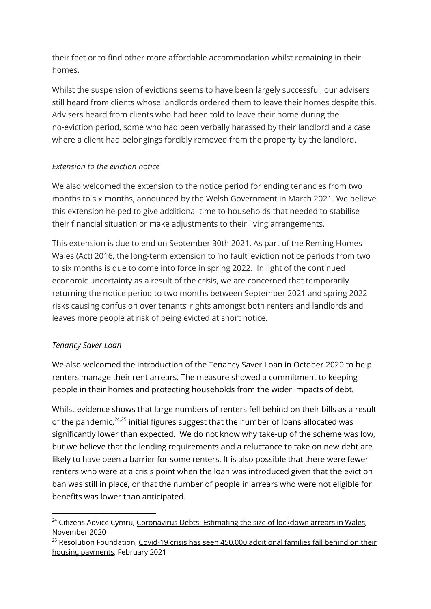their feet or to find other more affordable accommodation whilst remaining in their homes.

Whilst the suspension of evictions seems to have been largely successful, our advisers still heard from clients whose landlords ordered them to leave their homes despite this. Advisers heard from clients who had been told to leave their home during the no-eviction period, some who had been verbally harassed by their landlord and a case where a client had belongings forcibly removed from the property by the landlord.

### *Extension to the eviction notice*

We also welcomed the extension to the notice period for ending tenancies from two months to six months, announced by the Welsh Government in March 2021. We believe this extension helped to give additional time to households that needed to stabilise their financial situation or make adjustments to their living arrangements.

This extension is due to end on September 30th 2021. As part of the Renting Homes Wales (Act) 2016, the long-term extension to 'no fault' eviction notice periods from two to six months is due to come into force in spring 2022. In light of the continued economic uncertainty as a result of the crisis, we are concerned that temporarily returning the notice period to two months between September 2021 and spring 2022 risks causing confusion over tenants' rights amongst both renters and landlords and leaves more people at risk of being evicted at short notice.

## *Tenancy Saver Loan*

We also welcomed the introduction of the Tenancy Saver Loan in October 2020 to help renters manage their rent arrears. The measure showed a commitment to keeping people in their homes and protecting households from the wider impacts of debt.

Whilst evidence shows that large numbers of renters fell behind on their bills as a result of the pandemic, $24,25$  initial figures suggest that the number of loans allocated was significantly lower than expected. We do not know why take-up of the scheme was low, but we believe that the lending requirements and a reluctance to take on new debt are likely to have been a barrier for some renters. It is also possible that there were fewer renters who were at a crisis point when the loan was introduced given that the eviction ban was still in place, or that the number of people in arrears who were not eligible for benefits was lower than anticipated.

 $24$  Citizens Advice Cymru, [Coronavirus](https://www.citizensadvice.org.uk/about-us/our-work/policy/policy-research-topics/citizens-advice-cymru-wales-policy-research/coronavirus-arrears-estimating-the-size-of-lockdown-arrears-in-wales1/) Debts: Estimating the size of lockdown arrears in Wales, November 2020

 $25$  Resolution Foundation, Covid-19 crisis has seen 450,000 [additional](https://www.resolutionfoundation.org/press-releases/covid-19-crisis-has-seen-450000-additional-families-fall-behind-on-their-housing-payments/) families fall behind on their housing [payments,](https://www.resolutionfoundation.org/press-releases/covid-19-crisis-has-seen-450000-additional-families-fall-behind-on-their-housing-payments/) February 2021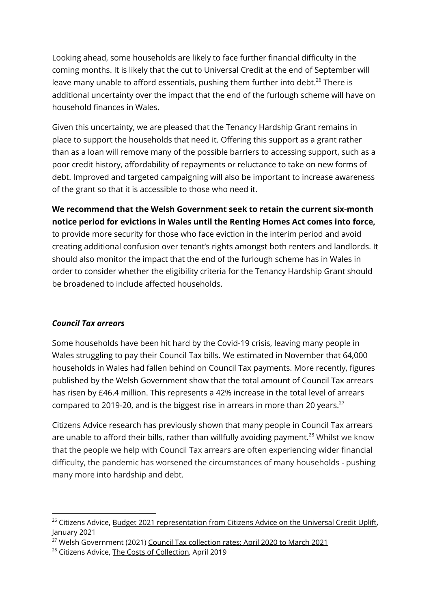Looking ahead, some households are likely to face further financial difficulty in the coming months. It is likely that the cut to Universal Credit at the end of September will leave many unable to afford essentials, pushing them further into debt. <sup>26</sup> There is additional uncertainty over the impact that the end of the furlough scheme will have on household finances in Wales.

Given this uncertainty, we are pleased that the Tenancy Hardship Grant remains in place to support the households that need it. Offering this support as a grant rather than as a loan will remove many of the possible barriers to accessing support, such as a poor credit history, affordability of repayments or reluctance to take on new forms of debt. Improved and targeted campaigning will also be important to increase awareness of the grant so that it is accessible to those who need it.

**We recommend that the Welsh Government seek to retain the current six-month notice period for evictions in Wales until the Renting Homes Act comes into force,** to provide more security for those who face eviction in the interim period and avoid creating additional confusion over tenant's rights amongst both renters and landlords. It should also monitor the impact that the end of the furlough scheme has in Wales in order to consider whether the eligibility criteria for the Tenancy Hardship Grant should be broadened to include affected households.

### *Council Tax arrears*

Some households have been hit hard by the Covid-19 crisis, leaving many people in Wales struggling to pay their Council Tax bills. We estimated in November that 64,000 households in Wales had fallen behind on Council Tax payments. More recently, figures published by the Welsh Government show that the total amount of Council Tax arrears has risen by £46.4 million. This represents a 42% increase in the total level of arrears compared to 2019-20, and is the biggest rise in arrears in more than 20 years. $^{27}$ 

Citizens Advice research has previously shown that many people in Council Tax arrears are unable to afford their bills, rather than willfully avoiding payment.<sup>28</sup> Whilst we know that the people we help with Council Tax arrears are often experiencing wider financial difficulty, the pandemic has worsened the circumstances of many households - pushing many more into hardship and debt.

<sup>&</sup>lt;sup>26</sup> Citizens Advice, Budget 2021 [representation](https://www.citizensadvice.org.uk/Global/CitizensAdvice/welfare%20publications/Budget%202021%20representation%20from%20Citizens%20Advice%20(January%202021)%20.pdf) from Citizens Advice on the Universal Credit Uplift, January 2021

<sup>&</sup>lt;sup>27</sup> Welsh Government (2021) Council Tax [collection](https://gov.wales/council-tax-collection-rates-april-2020-march-2021) rates: April 2020 to March 2021

<sup>&</sup>lt;sup>28</sup> Citizens Advice, The Costs of [Collection](https://www.citizensadvice.org.uk/Global/CitizensAdvice/Debt%20and%20Money%20Publications/FINAL_%20Costs%20of%20Collection%20.pdf), April 2019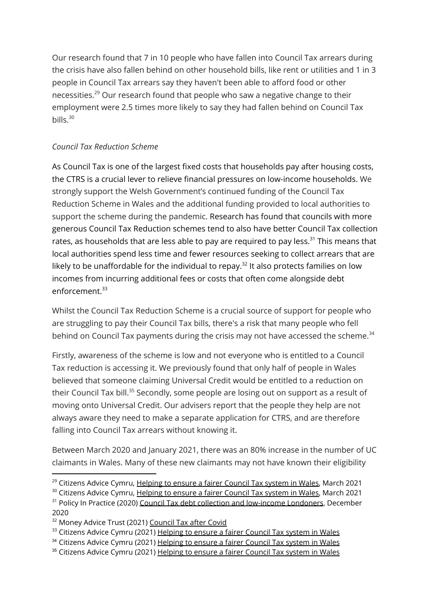Our research found that 7 in 10 people who have fallen into Council Tax arrears during the crisis have also fallen behind on other household bills, like rent or utilities and 1 in 3 people in Council Tax arrears say they haven't been able to afford food or other necessities. <sup>29</sup> Our research found that people who saw a negative change to their employment were 2.5 times more likely to say they had fallen behind on Council Tax bills. $30$ 

## *Council Tax Reduction Scheme*

As Council Tax is one of the largest fixed costs that households pay after housing costs, the CTRS is a crucial lever to relieve financial pressures on low-income households. We strongly support the Welsh Government's continued funding of the Council Tax Reduction Scheme in Wales and the additional funding provided to local authorities to support the scheme during the pandemic. Research has found that councils with more generous Council Tax Reduction schemes tend to also have better Council Tax collection rates, as households that are less able to pay are required to pay less. $^{\rm 31}$  This means that local authorities spend less time and fewer resources seeking to collect arrears that are likely to be unaffordable for the individual to repay. $^{32}$  It also protects families on low incomes from incurring additional fees or costs that often come alongside debt enforcement. 33

Whilst the Council Tax Reduction Scheme is a crucial source of support for people who are struggling to pay their Council Tax bills, there's a risk that many people who fell behind on Council Tax payments during the crisis may not have accessed the scheme.<sup>34</sup>

Firstly, awareness of the scheme is low and not everyone who is entitled to a Council Tax reduction is accessing it. We previously found that only half of people in Wales believed that someone claiming Universal Credit would be entitled to a reduction on their Council Tax bill.<sup>35</sup> Secondly, some people are losing out on support as a result of moving onto Universal Credit. Our advisers report that the people they help are not always aware they need to make a separate application for CTRS, and are therefore falling into Council Tax arrears without knowing it.

Between March 2020 and January 2021, there was an 80% increase in the number of UC claimants in Wales. Many of these new claimants may not have known their eligibility

 $29$  Citizens Advice Cymru, [Helping](https://www.citizensadvice.org.uk/Global/CitizensAdvice/Wales/Wales%20Policy%20and%20Campaigns/Council%20Tax%20Briefing%20Manifesto%20(1).pdf) to ensure a fairer Council Tax system in Wales, March 2021

<sup>&</sup>lt;sup>30</sup> Citizens Advice Cymru, [Helping](https://www.citizensadvice.org.uk/Global/CitizensAdvice/Wales/Wales%20Policy%20and%20Campaigns/Council%20Tax%20Briefing%20Manifesto%20(1).pdf) to ensure a fairer Council Tax system in Wales, March 2021

 $31$  Policy In Practice (2020) Council Tax debt collection and [low-income](https://policyinpractice.co.uk/wp-content/uploads/Council-Tax-debt-collection-and-low-income-Londoners_GLA_pub.pdf?vgo_ee=jJSh2gUA01U%2F2npHij2L0QnfHYn3L1AxUbDQ3tkuxgcPOc9ash%2FLOwjuy%2B3ydG8S) Londoners, December 2020

<sup>&</sup>lt;sup>32</sup> Money Advice Trust (2021) [Council](https://moneyadvicetrust.org/media/documents/Council_tax_after_covid_report.pdf) Tax after Covid

<sup>&</sup>lt;sup>33</sup> Citizens Advice Cymru (2021) [Helping](https://www.citizensadvice.org.uk/Global/CitizensAdvice/Wales/Wales%20Policy%20and%20Campaigns/Council%20Tax%20Briefing%20Manifesto%20(1).pdf) to ensure a fairer Council Tax system in Wales

<sup>&</sup>lt;sup>34</sup> Citizens Advice Cymru (2021) [Helping](https://www.citizensadvice.org.uk/Global/CitizensAdvice/Wales/Wales%20Policy%20and%20Campaigns/Council%20Tax%20Briefing%20Manifesto%20(1).pdf) to ensure a fairer Council Tax system in Wales

<sup>&</sup>lt;sup>35</sup> Citizens Advice Cymru (2021) [Helping](https://www.citizensadvice.org.uk/Global/CitizensAdvice/Wales/Wales%20Policy%20and%20Campaigns/Council%20Tax%20Briefing%20Manifesto%20(1).pdf) to ensure a fairer Council Tax system in Wales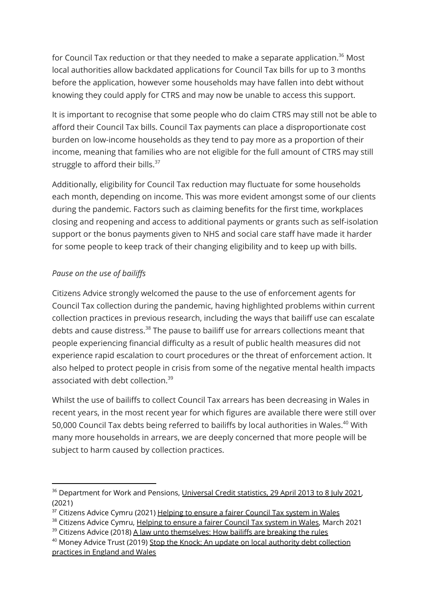for Council Tax reduction or that they needed to make a separate application.<sup>36</sup> Most local authorities allow backdated applications for Council Tax bills for up to 3 months before the application, however some households may have fallen into debt without knowing they could apply for CTRS and may now be unable to access this support.

It is important to recognise that some people who do claim CTRS may still not be able to afford their Council Tax bills. Council Tax payments can place a disproportionate cost burden on low-income households as they tend to pay more as a proportion of their income, meaning that families who are not eligible for the full amount of CTRS may still struggle to afford their bills.<sup>37</sup>

Additionally, eligibility for Council Tax reduction may fluctuate for some households each month, depending on income. This was more evident amongst some of our clients during the pandemic. Factors such as claiming benefits for the first time, workplaces closing and reopening and access to additional payments or grants such as self-isolation support or the bonus payments given to NHS and social care staff have made it harder for some people to keep track of their changing eligibility and to keep up with bills.

## *Pause on the use of bailiffs*

Citizens Advice strongly welcomed the pause to the use of enforcement agents for Council Tax collection during the pandemic, having highlighted problems within current collection practices in previous research, including the ways that bailiff use can escalate debts and cause distress.<sup>38</sup> The pause to bailiff use for arrears collections meant that people experiencing financial difficulty as a result of public health measures did not experience rapid escalation to court procedures or the threat of enforcement action. It also helped to protect people in crisis from some of the negative mental health impacts associated with debt collection. 39

Whilst the use of bailiffs to collect Council Tax arrears has been decreasing in Wales in recent years, in the most recent year for which figures are available there were still over 50,000 Council Tax debts being referred to bailiffs by local authorities in Wales. <sup>40</sup> With many more households in arrears, we are deeply concerned that more people will be subject to harm caused by collection practices.

<sup>&</sup>lt;sup>36</sup> Department for Work and Pensions, [Universal](https://www.gov.uk/government/statistics/universal-credit-statistics-29-april-2013-to-8-july-2021/universal-credit-statistics-29-april-2013-to-8-july-2021) Credit statistics, 29 April 2013 to 8 July 2021, (2021)

 $37$  Citizens Advice Cymru (2021) [Helping](https://www.citizensadvice.org.uk/Global/CitizensAdvice/Wales/Wales%20Policy%20and%20Campaigns/Council%20Tax%20Briefing%20Manifesto%20(1).pdf) to ensure a fairer Council Tax system in Wales

<sup>&</sup>lt;sup>38</sup> Citizens Advice Cymru, [Helping](https://www.citizensadvice.org.uk/Global/CitizensAdvice/Wales/Wales%20Policy%20and%20Campaigns/Council%20Tax%20Briefing%20Manifesto%20(1).pdf) to ensure a fairer Council Tax system in Wales, March 2021

 $39$  Citizens Advice (2018) A law unto [themselves:](https://www.citizensadvice.org.uk/Global/CitizensAdvice/Debt%20and%20Money%20Publications/A%20law%20unto%20themselves%20final%20%20(1).pdf) How bailiffs are breaking the rules

 $40$  Money Advice Trust (2019) Stop the Knock: An update on local authority debt [collection](https://www.stoptheknock.org/wp-content/uploads/2019/06/Money-Advice-Trust-Stop-The-Knock-2019-report-September-2019.pdf) [practices](https://www.stoptheknock.org/wp-content/uploads/2019/06/Money-Advice-Trust-Stop-The-Knock-2019-report-September-2019.pdf) in England and Wales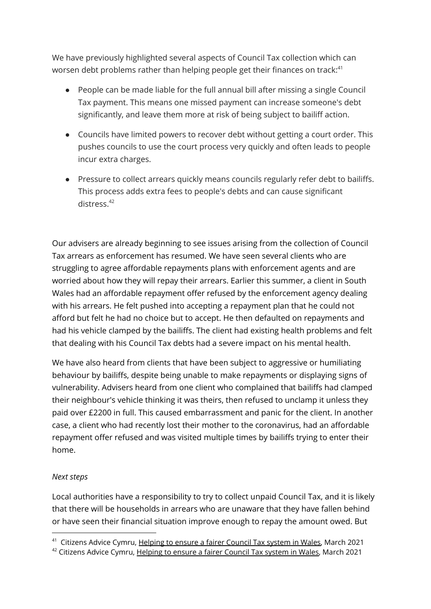We have previously highlighted several aspects of Council Tax collection which can worsen debt problems rather than helping people get their finances on track: $^{41}$ 

- People can be made liable for the full annual bill after missing a single Council Tax payment. This means one missed payment can increase someone's debt significantly, and leave them more at risk of being subject to bailiff action.
- Councils have limited powers to recover debt without getting a court order. This pushes councils to use the court process very quickly and often leads to people incur extra charges.
- Pressure to collect arrears quickly means councils regularly refer debt to bailiffs. This process adds extra fees to people's debts and can cause significant distress. 42

Our advisers are already beginning to see issues arising from the collection of Council Tax arrears as enforcement has resumed. We have seen several clients who are struggling to agree affordable repayments plans with enforcement agents and are worried about how they will repay their arrears. Earlier this summer, a client in South Wales had an affordable repayment offer refused by the enforcement agency dealing with his arrears. He felt pushed into accepting a repayment plan that he could not afford but felt he had no choice but to accept. He then defaulted on repayments and had his vehicle clamped by the bailiffs. The client had existing health problems and felt that dealing with his Council Tax debts had a severe impact on his mental health.

We have also heard from clients that have been subject to aggressive or humiliating behaviour by bailiffs, despite being unable to make repayments or displaying signs of vulnerability. Advisers heard from one client who complained that bailiffs had clamped their neighbour's vehicle thinking it was theirs, then refused to unclamp it unless they paid over £2200 in full. This caused embarrassment and panic for the client. In another case, a client who had recently lost their mother to the coronavirus, had an affordable repayment offer refused and was visited multiple times by bailiffs trying to enter their home.

### *Next steps*

Local authorities have a responsibility to try to collect unpaid Council Tax, and it is likely that there will be households in arrears who are unaware that they have fallen behind or have seen their financial situation improve enough to repay the amount owed. But

 $41$  Citizens Advice Cymru, [Helping](https://www.citizensadvice.org.uk/Global/CitizensAdvice/Wales/Wales%20Policy%20and%20Campaigns/Council%20Tax%20Briefing%20Manifesto%20(1).pdf) to ensure a fairer Council Tax system in Wales, March 2021

 $42$  Citizens Advice Cymru, [Helping](https://www.citizensadvice.org.uk/Global/CitizensAdvice/Wales/Wales%20Policy%20and%20Campaigns/Council%20Tax%20Briefing%20Manifesto%20(1).pdf) to ensure a fairer Council Tax system in Wales, March 2021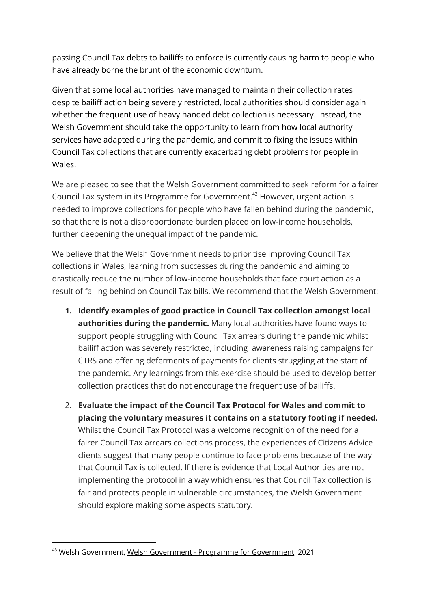passing Council Tax debts to bailiffs to enforce is currently causing harm to people who have already borne the brunt of the economic downturn.

Given that some local authorities have managed to maintain their collection rates despite bailiff action being severely restricted, local authorities should consider again whether the frequent use of heavy handed debt collection is necessary. Instead, the Welsh Government should take the opportunity to learn from how local authority services have adapted during the pandemic, and commit to fixing the issues within Council Tax collections that are currently exacerbating debt problems for people in Wales.

We are pleased to see that the Welsh Government committed to seek reform for a fairer Council Tax system in its Programme for Government. <sup>43</sup> However, urgent action is needed to improve collections for people who have fallen behind during the pandemic, so that there is not a disproportionate burden placed on low-income households, further deepening the unequal impact of the pandemic.

We believe that the Welsh Government needs to prioritise improving Council Tax collections in Wales, learning from successes during the pandemic and aiming to drastically reduce the number of low-income households that face court action as a result of falling behind on Council Tax bills. We recommend that the Welsh Government:

- **1. Identify examples of good practice in Council Tax collection amongst local authorities during the pandemic.** Many local authorities have found ways to support people struggling with Council Tax arrears during the pandemic whilst bailiff action was severely restricted, including awareness raising campaigns for CTRS and offering deferments of payments for clients struggling at the start of the pandemic. Any learnings from this exercise should be used to develop better collection practices that do not encourage the frequent use of bailiffs.
- 2. **Evaluate the impact of the Council Tax Protocol for Wales and commit to placing the voluntary measures it contains on a statutory footing if needed.** Whilst the Council Tax Protocol was a welcome recognition of the need for a fairer Council Tax arrears collections process, the experiences of Citizens Advice clients suggest that many people continue to face problems because of the way that Council Tax is collected. If there is evidence that Local Authorities are not implementing the protocol in a way which ensures that Council Tax collection is fair and protects people in vulnerable circumstances, the Welsh Government should explore making some aspects statutory.

<sup>43</sup> Welsh Government, Welsh [Government](https://gov.wales/sites/default/files/publications/2021-06/programme-for-government-2021-to-2026.pdf) - Programme for Government, 2021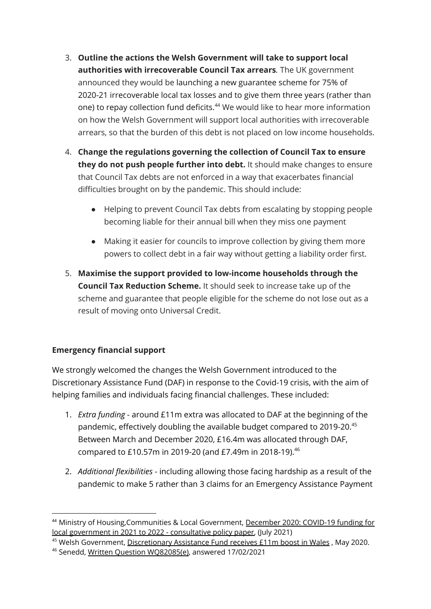- 3. **Outline the actions the Welsh Government will take to support local authorities with irrecoverable Council Tax arrears***.* The UK government announced they would be launching a new guarantee scheme for 75% of 2020-21 irrecoverable local tax losses and to give them three years (rather than one) to repay collection fund deficits. <sup>44</sup> We would like to hear more information on how the Welsh Government will support local authorities with irrecoverable arrears, so that the burden of this debt is not placed on low income households.
- 4. **Change the regulations governing the collection of Council Tax to ensure they do not push people further into debt.** It should make changes to ensure that Council Tax debts are not enforced in a way that exacerbates financial difficulties brought on by the pandemic. This should include:
	- Helping to prevent Council Tax debts from escalating by stopping people becoming liable for their annual bill when they miss one payment
	- Making it easier for councils to improve collection by giving them more powers to collect debt in a fair way without getting a liability order first.
- 5. **Maximise the support provided to low-income households through the Council Tax Reduction Scheme.** It should seek to increase take up of the scheme and guarantee that people eligible for the scheme do not lose out as a result of moving onto Universal Credit.

## **Emergency financial support**

We strongly welcomed the changes the Welsh Government introduced to the Discretionary Assistance Fund (DAF) in response to the Covid-19 crisis, with the aim of helping families and individuals facing financial challenges. These included:

- 1. *Extra funding* around £11m extra was allocated to DAF at the beginning of the pandemic, effectively doubling the available budget compared to 2019-20. 45 Between March and December 2020, £16.4m was allocated through DAF, compared to £10.57m in 2019-20 (and £7.49m in 2018-19). $^{46}$
- 2. *Additional flexibilities* including allowing those facing hardship as a result of the pandemic to make 5 rather than 3 claims for an Emergency Assistance Payment

<sup>44</sup> Ministry of Housing,Communities & Local Government, [December](https://www.gov.uk/government/publications/covid-19-emergency-funding-for-local-government/covid-19-funding-for-local-government-in-2021-22-consultative-policy-paper) 2020: COVID-19 funding for local [government](https://www.gov.uk/government/publications/covid-19-emergency-funding-for-local-government/covid-19-funding-for-local-government-in-2021-22-consultative-policy-paper) in 2021 to 2022 - consultative policy paper, (July 2021)

 $45$  Welsh Government, [Discretionary](https://media.service.gov.wales/news/discretionary-assistance-fund-receives-gbp-11m-boost-in-wales) Assistance Fund receives £11m boost in Wales , May 2020.

<sup>46</sup> Senedd, Written Question [WQ82085\(e\)](https://record.assembly.wales/OrderPaper/WrittenQuestions/15-02-2021/), answered 17/02/2021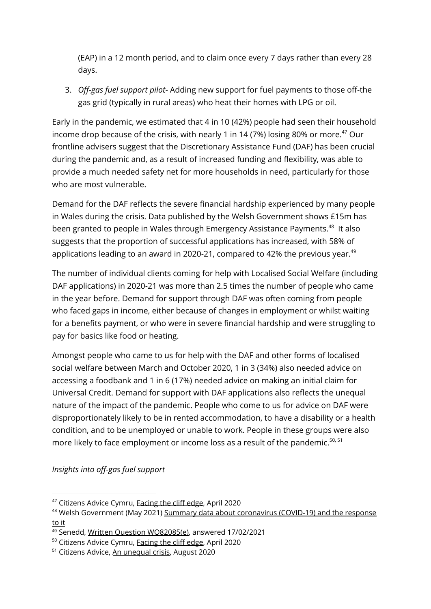(EAP) in a 12 month period, and to claim once every 7 days rather than every 28 days.

3. *Off-gas fuel support pilot*- Adding new support for fuel payments to those off-the gas grid (typically in rural areas) who heat their homes with LPG or oil.

Early in the pandemic, we estimated that 4 in 10 (42%) people had seen their household income drop because of the crisis, with nearly 1 in 14 (7%) losing 80% or more. $^{47}$  Our frontline advisers suggest that the Discretionary Assistance Fund (DAF) has been crucial during the pandemic and, as a result of increased funding and flexibility, was able to provide a much needed safety net for more households in need, particularly for those who are most vulnerable.

Demand for the DAF reflects the severe financial hardship experienced by many people in Wales during the crisis. Data published by the Welsh Government shows £15m has been granted to people in Wales through Emergency Assistance Payments.<sup>48</sup> It also suggests that the proportion of successful applications has increased, with 58% of applications leading to an award in 2020-21, compared to 42% the previous year. $^{49}$ 

The number of individual clients coming for help with Localised Social Welfare (including DAF applications) in 2020-21 was more than 2.5 times the number of people who came in the year before. Demand for support through DAF was often coming from people who faced gaps in income, either because of changes in employment or whilst waiting for a benefits payment, or who were in severe financial hardship and were struggling to pay for basics like food or heating.

Amongst people who came to us for help with the DAF and other forms of localised social welfare between March and October 2020, 1 in 3 (34%) also needed advice on accessing a foodbank and 1 in 6 (17%) needed advice on making an initial claim for Universal Credit. Demand for support with DAF applications also reflects the unequal nature of the impact of the pandemic. People who come to us for advice on DAF were disproportionately likely to be in rented accommodation, to have a disability or a health condition, and to be unemployed or unable to work. People in these groups were also more likely to face employment or income loss as a result of the pandemic. 50, 51

*Insights into off-gas fuel support*

<sup>&</sup>lt;sup>47</sup> Citizens Advice Cymru, [Facing](https://www.citizensadvice.org.uk/Global/CitizensAdvice/Wales/Facing%20the%20cliff%20edge.pdf) the cliff edge, April 2020

<sup>48</sup> Welsh Government (May 2021) Summary data about [coronavirus](https://gov.wales/summary-data-about-coronavirus-covid-19-and-response-it-26-may-2021) (COVID-19) and the response [to](https://gov.wales/summary-data-about-coronavirus-covid-19-and-response-it-26-may-2021) it

<sup>49</sup> Senedd, Written Question [WQ82085\(e\)](https://record.assembly.wales/OrderPaper/WrittenQuestions/15-02-2021/), answered 17/02/2021

<sup>50</sup> Citizens Advice Cymru, [Facing](https://www.citizensadvice.org.uk/Global/CitizensAdvice/Wales/Facing%20the%20cliff%20edge.pdf) the cliff edge, April 2020

<sup>51</sup> Citizens Advice, An [unequal](https://www.citizensadvice.org.uk/about-us/our-work/policy/policy-research-topics/work-policy-research-surveys-and-consultation-responses/work-policy-research/an-unequal-crisis/) crisis, August 2020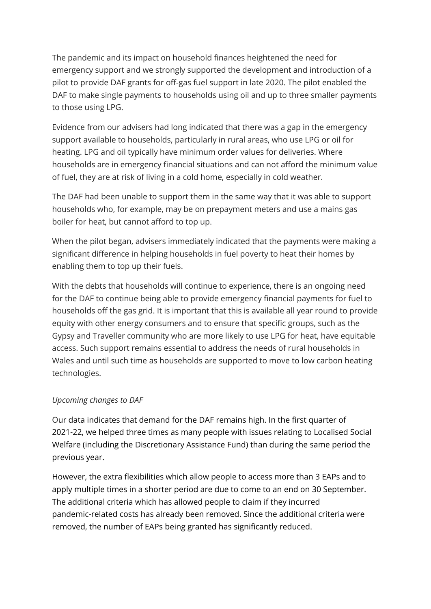The pandemic and its impact on household finances heightened the need for emergency support and we strongly supported the development and introduction of a pilot to provide DAF grants for off-gas fuel support in late 2020. The pilot enabled the DAF to make single payments to households using oil and up to three smaller payments to those using LPG.

Evidence from our advisers had long indicated that there was a gap in the emergency support available to households, particularly in rural areas, who use LPG or oil for heating. LPG and oil typically have minimum order values for deliveries. Where households are in emergency financial situations and can not afford the minimum value of fuel, they are at risk of living in a cold home, especially in cold weather.

The DAF had been unable to support them in the same way that it was able to support households who, for example, may be on prepayment meters and use a mains gas boiler for heat, but cannot afford to top up.

When the pilot began, advisers immediately indicated that the payments were making a significant difference in helping households in fuel poverty to heat their homes by enabling them to top up their fuels.

With the debts that households will continue to experience, there is an ongoing need for the DAF to continue being able to provide emergency financial payments for fuel to households off the gas grid. It is important that this is available all year round to provide equity with other energy consumers and to ensure that specific groups, such as the Gypsy and Traveller community who are more likely to use LPG for heat, have equitable access. Such support remains essential to address the needs of rural households in Wales and until such time as households are supported to move to low carbon heating technologies.

#### *Upcoming changes to DAF*

Our data indicates that demand for the DAF remains high. In the first quarter of 2021-22, we helped three times as many people with issues relating to Localised Social Welfare (including the Discretionary Assistance Fund) than during the same period the previous year.

However, the extra flexibilities which allow people to access more than 3 EAPs and to apply multiple times in a shorter period are due to come to an end on 30 September. The additional criteria which has allowed people to claim if they incurred pandemic-related costs has already been removed. Since the additional criteria were removed, the number of EAPs being granted has significantly reduced.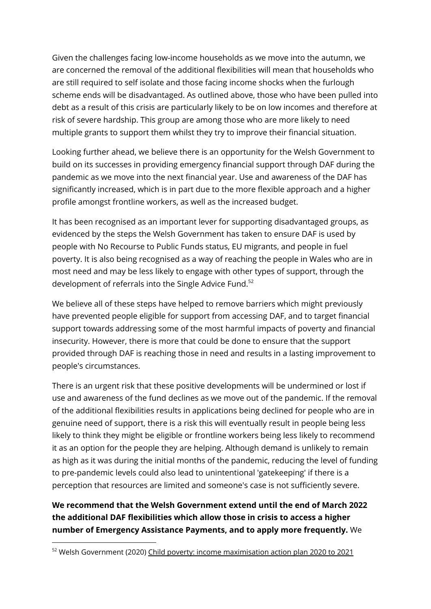Given the challenges facing low-income households as we move into the autumn, we are concerned the removal of the additional flexibilities will mean that households who are still required to self isolate and those facing income shocks when the furlough scheme ends will be disadvantaged. As outlined above, those who have been pulled into debt as a result of this crisis are particularly likely to be on low incomes and therefore at risk of severe hardship. This group are among those who are more likely to need multiple grants to support them whilst they try to improve their financial situation.

Looking further ahead, we believe there is an opportunity for the Welsh Government to build on its successes in providing emergency financial support through DAF during the pandemic as we move into the next financial year. Use and awareness of the DAF has significantly increased, which is in part due to the more flexible approach and a higher profile amongst frontline workers, as well as the increased budget.

It has been recognised as an important lever for supporting disadvantaged groups, as evidenced by the steps the Welsh Government has taken to ensure DAF is used by people with No Recourse to Public Funds status, EU migrants, and people in fuel poverty. It is also being recognised as a way of reaching the people in Wales who are in most need and may be less likely to engage with other types of support, through the development of referrals into the Single Advice Fund. 52

We believe all of these steps have helped to remove barriers which might previously have prevented people eligible for support from accessing DAF, and to target financial support towards addressing some of the most harmful impacts of poverty and financial insecurity. However, there is more that could be done to ensure that the support provided through DAF is reaching those in need and results in a lasting improvement to people's circumstances.

There is an urgent risk that these positive developments will be undermined or lost if use and awareness of the fund declines as we move out of the pandemic. If the removal of the additional flexibilities results in applications being declined for people who are in genuine need of support, there is a risk this will eventually result in people being less likely to think they might be eligible or frontline workers being less likely to recommend it as an option for the people they are helping. Although demand is unlikely to remain as high as it was during the initial months of the pandemic, reducing the level of funding to pre-pandemic levels could also lead to unintentional 'gatekeeping' if there is a perception that resources are limited and someone's case is not sufficiently severe.

# **We recommend that the Welsh Government extend until the end of March 2022 the additional DAF flexibilities which allow those in crisis to access a higher number of Emergency Assistance Payments, and to apply more frequently.** We

<sup>52</sup> Welsh Government (2020) Child poverty: income [maximisation](https://gov.wales/child-poverty-income-maximisation-action-plan-2020-2021-html) action plan 2020 to 2021